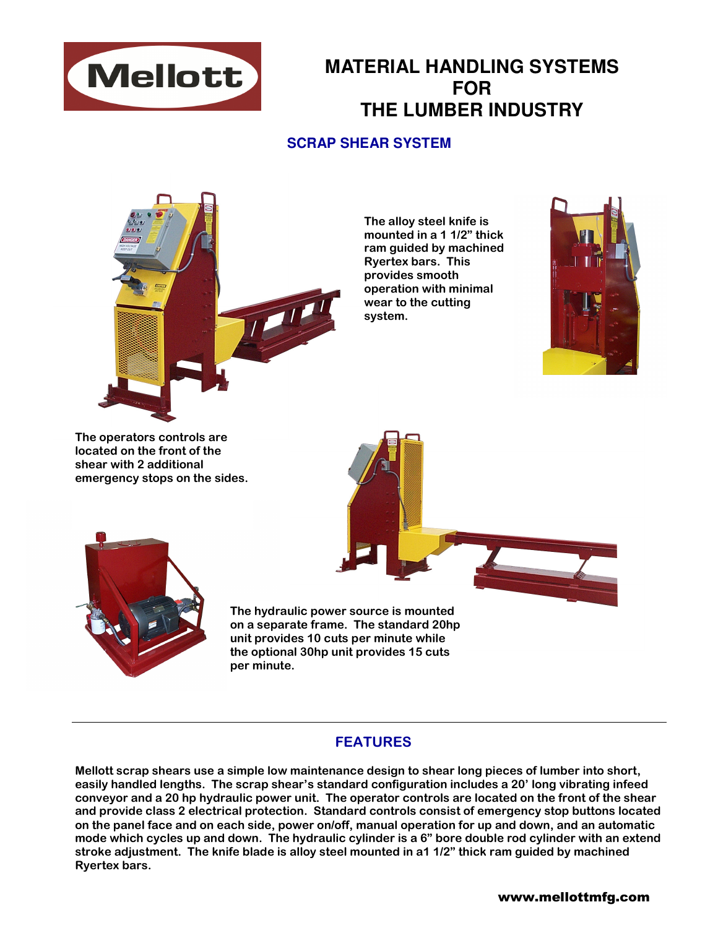

# **MATERIAL HANDLING SYSTEMS FOR THE LUMBER INDUSTRY**

### **SCRAP SHEAR SYSTEM**



The alloy steel knife is mounted in a 1 1/2" thick ram guided by machined Ryertex bars. This provides smooth operation with minimal wear to the cutting system.



The operators controls are located on the front of the shear with 2 additional emergency stops on the sides.



The hydraulic power source is mounted on a separate frame. The standard 20hp unit provides 10 cuts per minute while the optional 30hp unit provides 15 cuts per minute.

### **FEATURES**

Mellott scrap shears use a simple low maintenance design to shear long pieces of lumber into short, easily handled lengths. The scrap shear's standard configuration includes a 20' long vibrating infeed conveyor and a 20 hp hydraulic power unit. The operator controls are located on the front of the shear and provide class 2 electrical protection. Standard controls consist of emergency stop buttons located on the panel face and on each side, power on/off, manual operation for up and down, and an automatic mode which cycles up and down. The hydraulic cylinder is a 6" bore double rod cylinder with an extend stroke adjustment. The knife blade is alloy steel mounted in a1 1/2" thick ram guided by machined Ryertex bars.